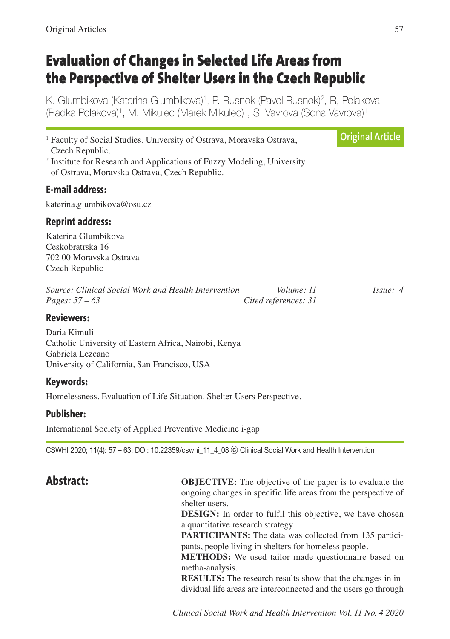# **Evaluation of Changes in Selected Life Areas from the Perspective of Shelter Users in the Czech Republic**

K. Glumbikova (Katerina Glumbikova) 1, P. Rusnok (Pavel Rusnok) 2, R, Polakova (Radka Polakova) 1, M. Mikulec (Marek Mikulec) 1, S. Vavrova (Sona Vavrova) 1

<sup>1</sup> Faculty of Social Studies, University of Ostrava, Moravska Ostrava, Czech Republic. <sup>2</sup> Institute for Research and Applications of Fuzzy Modeling, University of Ostrava, Moravska Ostrava, Czech Republic. **E-mail address:** katerina.glumbikova@osu.cz **Reprint address:** Katerina Glumbikova Ceskobratrska 16 702 00 Moravska Ostrava Czech Republic *Source: Clinical Social Work and Health Intervention Volume: 11 Issue: 4 Pages: 57 – 63 Cited references: 31* **Reviewers:** Daria Kimuli Catholic University of Eastern Africa, Nairobi, Kenya Gabriela Lezcano University of California, San Francisco, USA **Keywords:** Homelessness. Evaluation of Life Situation. Shelter Users Perspective. **Publisher: Original Article**

International Society of Applied Preventive Medicine i-gap

CSWHI 2020; 11(4): 57 – 63; DOI: 10.22359/cswhi\_11\_4\_08 ⓒ Clinical Social Work and Health Intervention

**Abstract: OBJECTIVE:** The objective of the paper is to evaluate the ongoing changes in specific life areas from the perspective of shelter users.

> **DESIGN:** In order to fulfil this objective, we have chosen a quantitative research strategy.

> **PARTICIPANTS:** The data was collected from 135 participants, people living in shelters for homeless people.

> **METHODS:** We used tailor made questionnaire based on metha-analysis.

> **RESULTS:** The research results show that the changes in individual life areas are interconnected and the users go through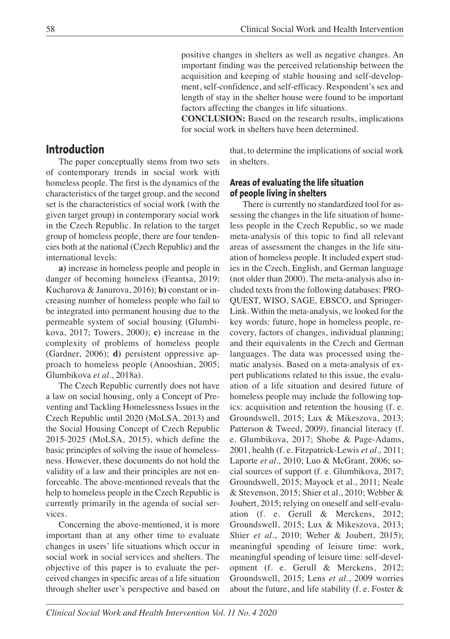positive changes in shelters as well as negative changes. An important finding was the perceived relationship between the acquisition and keeping of stable housing and self-development, self-confidence, and self-efficacy. Respondent's sex and length of stay in the shelter house were found to be important factors affecting the changes in life situations.

 **CONCLUSION:** Based on the research results, implications for social work in shelters have been determined.

## **Introduction**

The paper conceptually stems from two sets of contemporary trends in social work with homeless people. The first is the dynamics of the characteristics of the target group, and the second set is the characteristics of social work (with the given target group) in contemporary social work in the Czech Republic. In relation to the target group of homeless people, there are four tendencies both at the national (Czech Republic) and the international levels:

**a)** increase in homeless people and people in danger of becoming homeless (Feantsa, 2019; Kucharova & Janurova, 2016); **b)** constant or increasing number of homeless people who fail to be integrated into permanent housing due to the permeable system of social housing (Glumbikova, 2017; Towers, 2000); **c)** increase in the complexity of problems of homeless people (Gardner, 2006); **d)** persistent oppressive approach to homeless people (Anooshian, 2005; Glumbikova *et al.*, 2018a).

The Czech Republic currently does not have a law on social housing, only a Concept of Preventing and Tackling Homelessness Issues in the Czech Republic until 2020 (MoLSA, 2013) and the Social Housing Concept of Czech Republic 2015-2025 (MoLSA, 2015), which define the basic principles of solving the issue of homelessness. However, these documents do not hold the validity of a law and their principles are not enforceable. The above-mentioned reveals that the help to homeless people in the Czech Republic is currently primarily in the agenda of social services.

Concerning the above-mentioned, it is more important than at any other time to evaluate changes in users' life situations which occur in social work in social services and shelters. The objective of this paper is to evaluate the perceived changes in specific areas of a life situation through shelter user's perspective and based on

that, to determine the implications of social work in shelters.

#### **Areas of evaluating the life situation of people living in shelters**

There is currently no standardized tool for assessing the changes in the life situation of homeless people in the Czech Republic, so we made meta-analysis of this topic to find all relevant areas of assessment the changes in the life situation of homeless people. It included expert studies in the Czech, English, and German language (not older than 2000). The meta-analysis also included texts from the following databases: PRO-QUEST, WISO, SAGE, EBSCO, and Springer-Link. Within the meta-analysis, we looked for the key words: future, hope in homeless people, recovery, factors of changes, individual planning; and their equivalents in the Czech and German languages. The data was processed using thematic analysis. Based on a meta-analysis of expert publications related to this issue, the evaluation of a life situation and desired future of homeless people may include the following topics: acquisition and retention the housing (f. e. Groundswell, 2015; Lux & Mikeszova, 2013; Patterson & Tweed, 2009), financial literacy (f. e. Glumbikova, 2017; Shobe & Page-Adams, 2001, health (f. e. Fitzpatrick-Lewis *et al.,* 2011; Laporte *et al.,* 2010; Luo & McGrant, 2006; social sources of support (f. e. Glumbikova, 2017; Groundswell, 2015; Mayock et al., 2011; Neale & Stevenson, 2015; Shier et al., 2010; Webber & Joubert, 2015; relying on oneself and self-evaluation (f. e. Gerull & Merckens, 2012; Groundswell, 2015; Lux & Mikeszova, 2013; Shier *et al*., 2010; Weber & Joubert, 2015); meaningful spending of leisure time: work, meaningful spending of leisure time: self-development (f. e. Gerull & Merckens, 2012; Groundswell, 2015; Lens *et al*., 2009 worries about the future, and life stability (f. e. Foster &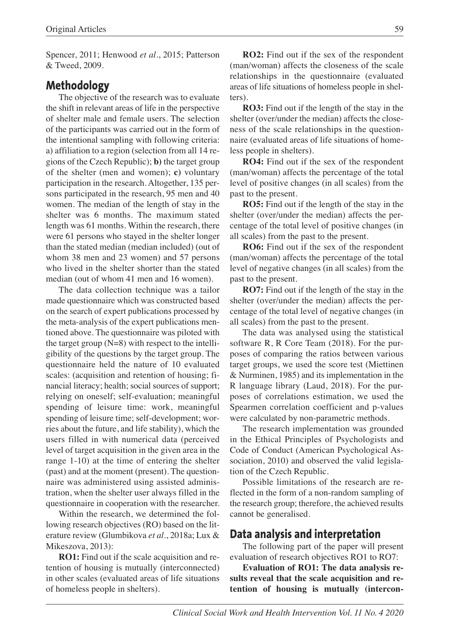Spencer, 2011; Henwood *et al*., 2015; Patterson & Tweed, 2009.

#### **Methodology**

The objective of the research was to evaluate the shift in relevant areas of life in the perspective of shelter male and female users. The selection of the participants was carried out in the form of the intentional sampling with following criteria: a) affiliation to a region (selection from all 14 regions of the Czech Republic); **b)** the target group of the shelter (men and women); **c)** voluntary participation in the research. Altogether, 135 persons participated in the research, 95 men and 40 women. The median of the length of stay in the shelter was 6 months. The maximum stated length was 61 months. Within the research, there were 61 persons who stayed in the shelter longer than the stated median (median included) (out of whom 38 men and 23 women) and 57 persons who lived in the shelter shorter than the stated median (out of whom 41 men and 16 women).

The data collection technique was a tailor made questionnaire which was constructed based on the search of expert publications processed by the meta-analysis of the expert publications mentioned above. The questionnaire was piloted with the target group  $(N=8)$  with respect to the intelligibility of the questions by the target group. The questionnaire held the nature of 10 evaluated scales: (acquisition and retention of housing; financial literacy; health; social sources of support; relying on oneself; self-evaluation; meaningful spending of leisure time: work, meaningful spending of leisure time; self-development; worries about the future, and life stability), which the users filled in with numerical data (perceived level of target acquisition in the given area in the range 1-10) at the time of entering the shelter (past) and at the moment (present). The questionnaire was administered using assisted administration, when the shelter user always filled in the questionnaire in cooperation with the researcher.

Within the research, we determined the following research objectives (RO) based on the literature review (Glumbikova *et al*., 2018a; Lux & Mikeszova, 2013):

**RO1:** Find out if the scale acquisition and retention of housing is mutually (interconnected) in other scales (evaluated areas of life situations of homeless people in shelters).

**RO2:** Find out if the sex of the respondent (man/woman) affects the closeness of the scale relationships in the questionnaire (evaluated areas of life situations of homeless people in shelters).

**RO3:** Find out if the length of the stay in the shelter (over/under the median) affects the closeness of the scale relationships in the questionnaire (evaluated areas of life situations of homeless people in shelters).

**RO4:** Find out if the sex of the respondent (man/woman) affects the percentage of the total level of positive changes (in all scales) from the past to the present.

**RO5:** Find out if the length of the stay in the shelter (over/under the median) affects the percentage of the total level of positive changes (in all scales) from the past to the present.

**RO6:** Find out if the sex of the respondent (man/woman) affects the percentage of the total level of negative changes (in all scales) from the past to the present.

**RO7:** Find out if the length of the stay in the shelter (over/under the median) affects the percentage of the total level of negative changes (in all scales) from the past to the present.

The data was analysed using the statistical software R, R Core Team (2018). For the purposes of comparing the ratios between various target groups, we used the score test (Miettinen & Nurminen, 1985) and its implementation in the R language library (Laud, 2018). For the purposes of correlations estimation, we used the Spearmen correlation coefficient and p-values were calculated by non-parametric methods.

The research implementation was grounded in the Ethical Principles of Psychologists and Code of Conduct (American Psychological Association, 2010) and observed the valid legislation of the Czech Republic.

Possible limitations of the research are reflected in the form of a non-random sampling of the research group; therefore, the achieved results cannot be generalised.

#### **Data analysis and interpretation**

The following part of the paper will present evaluation of research objectives RO1 to RO7:

**Evaluation of RO1: The data analysis results reveal that the scale acquisition and retention of housing is mutually (intercon-**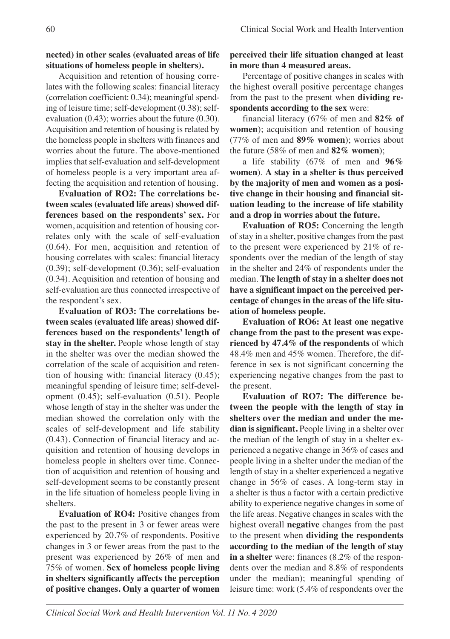#### **nected) in other scales (evaluated areas of life situations of homeless people in shelters).**

Acquisition and retention of housing correlates with the following scales: financial literacy (correlation coefficient: 0.34); meaningful spending of leisure time; self-development (0.38); selfevaluation (0.43); worries about the future (0.30). Acquisition and retention of housing is related by the homeless people in shelters with finances and worries about the future. The above-mentioned implies that self-evaluation and self-development of homeless people is a very important area affecting the acquisition and retention of housing.

**Evaluation of RO2: The correlations between scales (evaluated life areas) showed differences based on the respondents' sex.** For women, acquisition and retention of housing correlates only with the scale of self-evaluation (0.64). For men, acquisition and retention of housing correlates with scales: financial literacy (0.39); self-development (0.36); self-evaluation (0.34). Acquisition and retention of housing and self-evaluation are thus connected irrespective of the respondent's sex.

**Evaluation of RO3: The correlations between scales (evaluated life areas) showed differences based on the respondents' length of stay in the shelter.** People whose length of stay in the shelter was over the median showed the correlation of the scale of acquisition and retention of housing with: financial literacy (0.45); meaningful spending of leisure time; self-development (0.45); self-evaluation (0.51). People whose length of stay in the shelter was under the median showed the correlation only with the scales of self-development and life stability (0.43). Connection of financial literacy and acquisition and retention of housing develops in homeless people in shelters over time. Connection of acquisition and retention of housing and self-development seems to be constantly present in the life situation of homeless people living in shelters.

**Evaluation of RO4:** Positive changes from the past to the present in 3 or fewer areas were experienced by 20.7% of respondents. Positive changes in 3 or fewer areas from the past to the present was experienced by 26% of men and 75% of women. **Sex of homeless people living in shelters significantly affects the perception of positive changes. Only a quarter of women**

**perceived their life situation changed at least in more than 4 measured areas.**

Percentage of positive changes in scales with the highest overall positive percentage changes from the past to the present when **dividing respondents according to the sex** were:

financial literacy (67% of men and **82% of women**); acquisition and retention of housing (77% of men and **89% women**); worries about the future (58% of men and **82% women**);

a life stability (67% of men and **96% women**). **A stay in a shelter is thus perceived by the majority of men and women as a positive change in their housing and financial situation leading to the increase of life stability and a drop in worries about the future.**

**Evaluation of RO5:** Concerning the length of stay in a shelter, positive changes from the past to the present were experienced by 21% of respondents over the median of the length of stay in the shelter and 24% of respondents under the median. **The length of stay in a shelter does not have a significant impact on the perceived percentage of changes in the areas of the life situation of homeless people.**

**Evaluation of RO6: At least one negative change from the past to the present was experienced by 47.4% of the respondents** of which 48.4% men and 45% women. Therefore, the difference in sex is not significant concerning the experiencing negative changes from the past to the present.

**Evaluation of RO7: The difference between the people with the length of stay in shelters over the median and under the median is significant.** People living in a shelter over the median of the length of stay in a shelter experienced a negative change in 36% of cases and people living in a shelter under the median of the length of stay in a shelter experienced a negative change in 56% of cases. A long-term stay in a shelter is thus a factor with a certain predictive ability to experience negative changes in some of the life areas. Negative changes in scales with the highest overall **negative** changes from the past to the present when **dividing the respondents according to the median of the length of stay in a shelter** were: finances (8.2% of the respondents over the median and 8.8% of respondents under the median); meaningful spending of leisure time: work (5.4% of respondents over the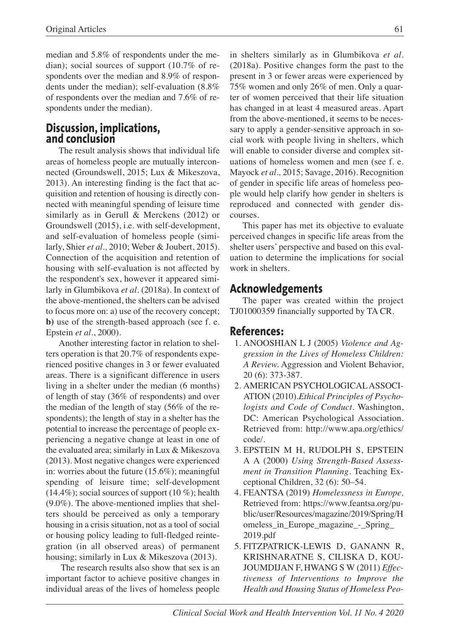median and 5.8% of respondents under the median); social sources of support (10.7% of respondents over the median and 8.9% of respondents under the median); self-evaluation (8.8% of respondents over the median and 7.6% of respondents under the median).

## **Discussion, implications, and conclusion**

The result analysis shows that individual life areas of homeless people are mutually interconnected (Groundswell, 2015; Lux & Mikeszova, 2013). An interesting finding is the fact that acquisition and retention of housing is directly connected with meaningful spending of leisure time similarly as in Gerull & Merckens (2012) or Groundswell (2015), i.e. with self-development, and self-evaluation of homeless people (similarly, Shier *et al.,* 2010; Weber & Joubert, 2015). Connection of the acquisition and retention of housing with self-evaluation is not affected by the respondent's sex, however it appeared similarly in Glumbikova *et al.* (2018a). In context of the above-mentioned, the shelters can be advised to focus more on: a) use of the recovery concept; **b)** use of the strength-based approach (see f. e. Epstein *et al*., 2000).

Another interesting factor in relation to shelters operation is that 20.7% of respondents experienced positive changes in 3 or fewer evaluated areas. There is a significant difference in users living in a shelter under the median (6 months) of length of stay (36% of respondents) and over the median of the length of stay (56% of the respondents); the length of stay in a shelter has the potential to increase the percentage of people experiencing a negative change at least in one of the evaluated area; similarly in Lux & Mikeszova (2013). Most negative changes were experienced in: worries about the future (15.6%); meaningful spending of leisure time; self-development  $(14.4\%)$ ; social sources of support  $(10\%)$ ; health (9.0%). The above-mentioned implies that shelters should be perceived as only a temporary housing in a crisis situation, not as a tool of social or housing policy leading to full-fledged reintegration (in all observed areas) of permanent housing; similarly in Lux & Mikeszova (2013).

The research results also show that sex is an important factor to achieve positive changes in individual areas of the lives of homeless people

in shelters similarly as in Glumbikova *et al.* (2018a). Positive changes form the past to the present in 3 or fewer areas were experienced by 75% women and only 26% of men. Only a quarter of women perceived that their life situation has changed in at least 4 measured areas. Apart from the above-mentioned, it seems to be necessary to apply a gender-sensitive approach in social work with people living in shelters, which will enable to consider diverse and complex situations of homeless women and men (see f. e. Mayock *et al.,* 2015; Savage, 2016). Recognition of gender in specific life areas of homeless people would help clarify how gender in shelters is reproduced and connected with gender discourses.

This paper has met its objective to evaluate perceived changes in specific life areas from the shelter users' perspective and based on this evaluation to determine the implications for social work in shelters.

# **Acknowledgements**

The paper was created within the project TJ01000359 financially supported by TA CR.

## **References:**

- 1. ANOOSHIAN L J (2005) *Violence and Aggression in the Lives of Homeless Children: A Review.* Aggression and Violent Behavior, 20 (6): 373-387.
- 2. AMERICAN PSYCHOLOGICALASSOCI-ATION (2010).*Ethical Principles of Psychologists and Code of Conduct.* Washington, DC: American Psychological Association. Retrieved from: http://www.apa.org/ethics/ code/.
- 3. EPSTEIN M H, RUDOLPH S, EPSTEIN A A (2000) *Using Strength-Based Assessment in Transition Planning.* Teaching Exceptional Children, 32 (6): 50–54.
- 4. FEANTSA (2019) *Homelessness in Europe,* Retrieved from: https://www.feantsa.org/public/user/Resources/magazine/2019/Spring/H omeless\_in\_Europe\_magazine\_-\_Spring\_ 2019.pdf
- 5. FITZPATRICK-LEWIS D, GANANN R, KRISHNARATNE S, CILISKA D, KOU-JOUMDIJAN F, HWANG S W (2011) *Effectiveness of Interventions to Improve the Health and Housing Status of Homeless Peo-*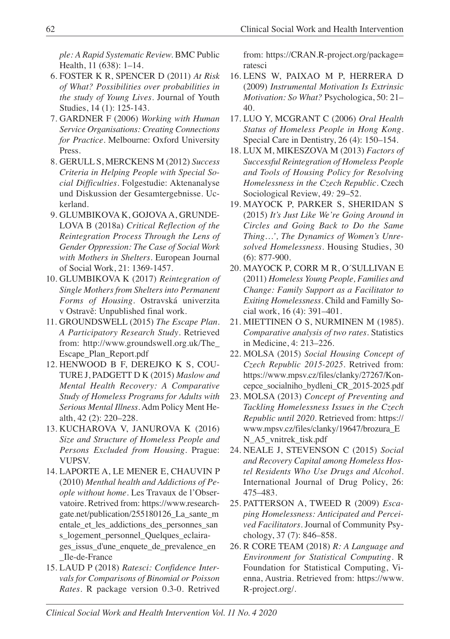*ple: A Rapid Systematic Review.* BMC Public Health, 11 (638): 1–14.

- 6. FOSTER K R, SPENCER D (2011) *At Risk of What? Possibilities over probabilities in the study of Young Lives*. Journal of Youth Studies, 14 (1): 125-143.
- 7. GARDNER F (2006) *Working with Human Service Organisations: Creating Connections for Practice*. Melbourne: Oxford University Press.
- 8. GERULL S, MERCKENS M (2012) *Success Criteria in Helping People with Special Social Difficulties*. Folgestudie: Aktenanalyse und Diskussion der Gesamtergebnisse. Uckerland.
- 9. GLUMBIKOVA K, GOJOVAA, GRUNDE-LOVA B (2018a) *Critical Reflection of the Reintegration Process Through the Lens of Gender Oppression: The Case of Social Work with Mothers in Shelters.* European Journal of Social Work, 21: 1369-1457.
- 10. GLUMBIKOVA K (2017) *Reintegration of Single Mothers from Shelters into Permanent Forms of Housing*. Ostravská univerzita v Ostravě: Unpublished final work.
- 11. GROUNDSWELL (2015) *The Escape Plan. A Participatory Research Study*. Retrieved from: http://www.groundswell.org.uk/The\_ Escape\_Plan\_Report.pdf
- 12. HENWOOD B F, DEREJKO K S, COU-TURE J, PADGETT D K (2015) *Maslow and Mental Health Recovery: A Comparative Study of Homeless Programs for Adults with Serious Mental Illness.* Adm Policy Ment Health, 42 (2): 220–228.
- 13. KUCHAROVA V, JANUROVA K (2016) *Size and Structure of Homeless People and Persons Excluded from Housing*. Prague: VUPSV.
- 14. LAPORTE A, LE MENER E, CHAUVIN P (2010) *Menthal health and Addictions of People without home*. Les Travaux de l'Observatoire. Retrived from: https://www.researchgate.net/publication/255180126\_La\_sante\_m entale\_et\_les\_addictions\_des\_personnes\_san s\_logement\_personnel\_Quelques\_eclairages\_issus\_d'une\_enquete\_de\_prevalence\_en \_Ile-de-France
- 15. LAUD P (2018) *Ratesci: Confidence Intervals for Comparisons of Binomial or Poisson Rates.* R package version 0.3-0. Retrived

from: https://CRAN.R-project.org/package= ratesci

- 16. LENS W, PAIXAO M P, HERRERA D (2009) *Instrumental Motivation Is Extrinsic Motivation: So What?* Psychologica, 50: 21– 40.
- 17. LUO Y, MCGRANT C (2006) *Oral Health Status of Homeless People in Hong Kong*. Special Care in Dentistry, 26 (4): 150–154.
- 18. LUX M, MIKESZOVA M (2013) *Factors of Successful Reintegration of Homeless People and Tools of Housing Policy for Resolving Homelessness in the Czech Republic*. Czech Sociological Review, 49*:* 29–52.
- 19. MAYOCK P, PARKER S, SHERIDAN S (2015) *It's Just Like We're Going Around in Circles and Going Back to Do the Same Thing…', The Dynamics of Women's Unresolved Homelessness.* Housing Studies, 30 (6): 877-900.
- 20. MAYOCK P, CORR M R, O´SULLIVAN E (2011) *Homeless Young People, Families and Change: Family Support as a Facilitator to Exiting Homelessness.* Child and Familly Social work, 16 (4): 391–401.
- 21. MIETTINEN O S, NURMINEN M (1985). *Comparative analysis of two rates.* Statistics in Medicine, 4: 213–226.
- 22. MOLSA (2015) *Social Housing Concept of Czech Republic 2015-2025.* Retrived from: https://www.mpsv.cz/files/clanky/27267/Koncepce\_socialniho\_bydleni\_CR\_2015-2025.pdf
- 23. MOLSA (2013) *Concept of Preventing and Tackling Homelessness Issues in the Czech Republic until 2020.* Retrieved from: https:// www.mpsv.cz/files/clanky/19647/brozura\_E N\_A5\_vnitrek\_tisk.pdf
- 24. NEALE J, STEVENSON C (2015) *Social and Recovery Capital among Homeless Hostel Residents Who Use Drugs and Alcohol.* International Journal of Drug Policy, 26: 475–483.
- 25. PATTERSON A, TWEED R (2009) *Escaping Homelessness: Anticipated and Perceived Facilitators.* Journal of Community Psychology, 37 (7): 846–858.
- 26. R CORE TEAM (2018) *R: A Language and Environment for Statistical Computing.* R Foundation for Statistical Computing, Vienna, Austria. Retrieved from: https://www. R-project.org/.

*Clinical Social Work and Health Intervention Vol. 11 No. 4 2020*